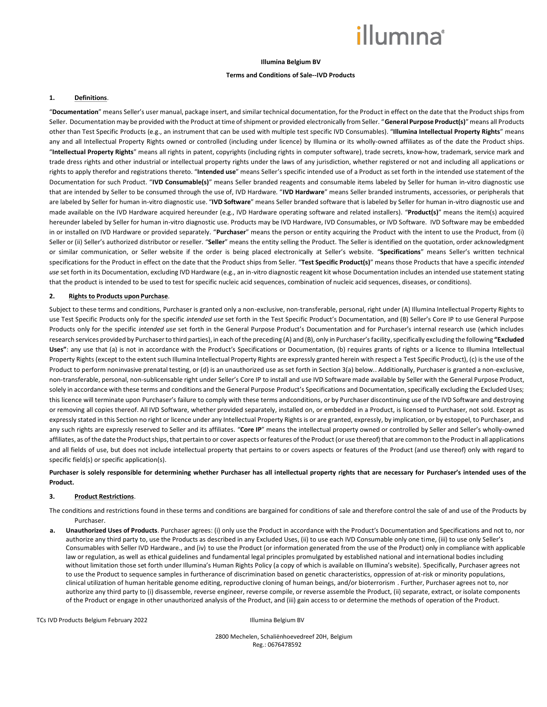# *illum*ına<sup>\*</sup>

## **Illumina Belgium BV**

### **Terms and Conditions of Sale--IVD Products**

#### **1. Definitions**.

"**Documentation**" means Seller's user manual, package insert, and similar technical documentation, for the Product in effect on the date that the Product ships from Seller. Documentation may be provided with the Product at time of shipment or provided electronically from Seller. "**General Purpose Product(s)**" means all Products other than Test Specific Products (e.g., an instrument that can be used with multiple test specific IVD Consumables). "**Illumina Intellectual Property Rights**" means any and all Intellectual Property Rights owned or controlled (including under licence) by Illumina or its wholly-owned affiliates as of the date the Product ships. "**Intellectual Property Rights**" means all rights in patent, copyrights (including rights in computer software), trade secrets, know-how, trademark, service mark and trade dress rights and other industrial or intellectual property rights under the laws of any jurisdiction, whether registered or not and including all applications or rights to apply therefor and registrations thereto. "**Intended use**" means Seller's specific intended use of a Product as set forth in the intended use statement of the Documentation for such Product. "**IVD Consumable(s)**" means Seller branded reagents and consumable items labeled by Seller for human in-vitro diagnostic use that are intended by Seller to be consumed through the use of, IVD Hardware. "**IVD Hardware**" means Seller branded instruments, accessories, or peripherals that are labeled by Seller for human in-vitro diagnostic use. "**IVD Software**" means Seller branded software that is labeled by Seller for human in-vitro diagnostic use and made available on the IVD Hardware acquired hereunder (e.g., IVD Hardware operating software and related installers). "**Product(s)**" means the item(s) acquired hereunder labeled by Seller for human in-vitro diagnostic use. Products may be IVD Hardware, IVD Consumables, or IVD Software. IVD Software may be embedded in or installed on IVD Hardware or provided separately. "**Purchaser**" means the person or entity acquiring the Product with the intent to use the Product, from (i) Seller or (ii) Seller's authorized distributor or reseller. "Seller" means the entity selling the Product. The Seller is identified on the quotation, order acknowledgment or similar communication, or Seller website if the order is being placed electronically at Seller's website. "**Specifications**" means Seller's written technical specifications for the Product in effect on the date that the Product ships from Seller. "**Test Specific Product(s)**" means those Products that have a specific *intended use* set forth in its Documentation, excluding IVD Hardware (e.g., an in-vitro diagnostic reagent kit whose Documentation includes an intended use statement stating that the product is intended to be used to test for specific nucleic acid sequences, combination of nucleic acid sequences, diseases, or conditions).

#### **2. Rights to Products upon Purchase**.

Subject to these terms and conditions, Purchaser is granted only a non-exclusive, non-transferable, personal, right under (A) Illumina Intellectual Property Rights to use Test Specific Products only for the specific *intended use* set forth in the Test Specific Product's Documentation, and (B) Seller's Core IP to use General Purpose Products only for the specific *intended use* set forth in the General Purpose Product's Documentation and for Purchaser's internal research use (which includes research services provided by Purchaser to third parties), in each of the preceding (A) and (B), only in Purchaser's facility, specifically excluding the following **"Excluded Uses"**: any use that (a) is not in accordance with the Product's Specifications or Documentation, (b) requires grants of rights or a licence to Illumina Intellectual Property Rights (except to the extent such Illumina Intellectual Property Rights are expressly granted herein with respect a Test Specific Product), (c) is the use of the Product to perform noninvasive prenatal testing, or (d) is an unauthorized use as set forth in Section 3(a) below.. Additionally, Purchaser is granted a non-exclusive, non-transferable, personal, non-sublicensable right under Seller's Core IP to install and use IVD Software made available by Seller with the General Purpose Product, solely in accordance with these terms and conditions and the General Purpose Product's Specifications and Documentation, specifically excluding the Excluded Uses; this licence will terminate upon Purchaser's failure to comply with these terms andconditions, or by Purchaser discontinuing use of the IVD Software and destroying or removing all copies thereof. All IVD Software, whether provided separately, installed on, or embedded in a Product, is licensed to Purchaser, not sold. Except as expressly stated in this Section no right or licence under any Intellectual Property Rights is or are granted, expressly, by implication, or by estoppel, to Purchaser, and any such rights are expressly reserved to Seller and its affiliates. "**Core IP**" means the intellectual property owned or controlled by Seller and Seller's wholly-owned affiliates, as of the date the Product ships, that pertain to or cover aspects orfeatures ofthe Product (or use thereof) that are common to the Product in all applications and all fields of use, but does not include intellectual property that pertains to or covers aspects or features of the Product (and use thereof) only with regard to specific field(s) or specific application(s).

## **Purchaser is solely responsible for determining whether Purchaser has all intellectual property rights that are necessary for Purchaser's intended uses of the Product.**

#### **3. Product Restrictions**.

The conditions and restrictions found in these terms and conditions are bargained for conditions of sale and therefore control the sale of and use of the Products by Purchaser.

**a. Unauthorized Uses of Products**. Purchaser agrees: (i) only use the Product in accordance with the Product's Documentation and Specifications and not to, nor authorize any third party to, use the Products as described in any Excluded Uses, (ii) to use each IVD Consumable only one time, (iii) to use only Seller's Consumables with Seller IVD Hardware., and (iv) to use the Product (or information generated from the use of the Product) only in compliance with applicable law or regulation, as well as ethical guidelines and fundamental legal principles promulgated by established national and international bodies including without limitation those set forth under Illumina's Human Rights Policy (a copy of which is available on Illumina's website). Specifically, Purchaser agrees not to use the Product to sequence samples in furtherance of discrimination based on genetic characteristics, oppression of at-risk or minority populations, clinical utilization of human heritable genome editing, reproductive cloning of human beings, and/or bioterrorism . Further, Purchaser agrees not to, nor authorize any third party to (i) disassemble, reverse engineer, reverse compile, or reverse assemble the Product, (ii) separate, extract, or isolate components of the Product or engage in other unauthorized analysis of the Product, and (iii) gain access to or determine the methods of operation of the Product.

TCs IVD Products Belgium February 2022 Illumina Belgium BV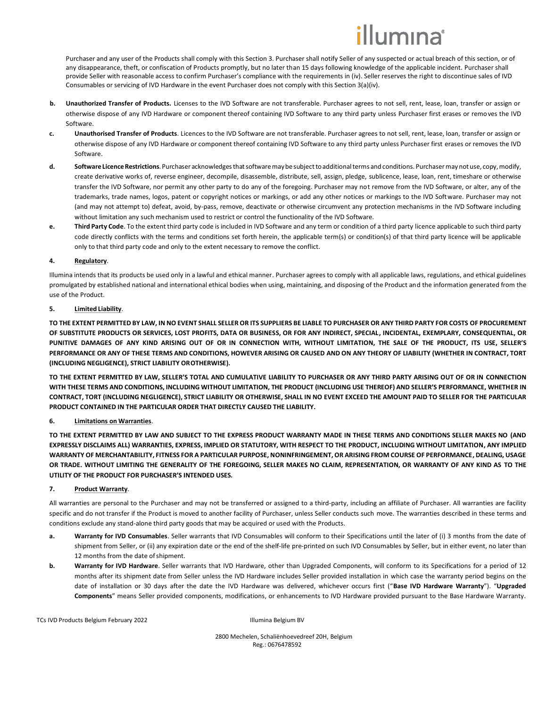# lumına<sup>®</sup>

Purchaser and any user of the Products shall comply with this Section 3. Purchaser shall notify Seller of any suspected or actual breach of this section, or of any disappearance, theft, or confiscation of Products promptly, but no later than 15 days following knowledge of the applicable incident. Purchaser shall provide Seller with reasonable access to confirm Purchaser's compliance with the requirements in (iv). Seller reserves the right to discontinue sales of IVD Consumables or servicing of IVD Hardware in the event Purchaser does not comply with this Section 3(a)(iv).

- **b. Unauthorized Transfer of Products.** Licenses to the IVD Software are not transferable. Purchaser agrees to not sell, rent, lease, loan, transfer or assign or otherwise dispose of any IVD Hardware or component thereof containing IVD Software to any third party unless Purchaser first erases or removes the IVD Software.
- **c. Unauthorised Transfer of Products**. Licences to the IVD Software are not transferable. Purchaser agrees to not sell, rent, lease, loan, transfer or assign or otherwise dispose of any IVD Hardware or component thereof containing IVD Software to any third party unless Purchaser first erases or removes the IVD Software.
- d. Software Licence Restrictions. Purchaser acknowledges that software may be subject to additional terms and conditions. Purchaser may not use, copy, modify, create derivative works of, reverse engineer, decompile, disassemble, distribute, sell, assign, pledge, sublicence, lease, loan, rent, timeshare or otherwise transfer the IVD Software, nor permit any other party to do any of the foregoing. Purchaser may not remove from the IVD Software, or alter, any of the trademarks, trade names, logos, patent or copyright notices or markings, or add any other notices or markings to the IVD Software. Purchaser may not (and may not attempt to) defeat, avoid, by-pass, remove, deactivate or otherwise circumvent any protection mechanisms in the IVD Software including without limitation any such mechanism used to restrict or control the functionality of the IVD Software.
- **e. Third Party Code**. To the extent third party code is included in IVD Software and any term or condition of a third party licence applicable to such third party code directly conflicts with the terms and conditions set forth herein, the applicable term(s) or condition(s) of that third party licence will be applicable only to that third party code and only to the extent necessary to remove the conflict.

## **4. Regulatory**.

Illumina intends that its products be used only in a lawful and ethical manner. Purchaser agrees to comply with all applicable laws, regulations, and ethical guidelines promulgated by established national and international ethical bodies when using, maintaining, and disposing of the Product and the information generated from the use of the Product.

## **5. Limited Liability**.

**TO THE EXTENT PERMITTED BY LAW, IN NO EVENT SHALL SELLER OR ITS SUPPLIERS BE LIABLE TO PURCHASER OR ANY THIRD PARTY FOR COSTS OF PROCUREMENT OF SUBSTITUTE PRODUCTS OR SERVICES, LOST PROFITS, DATA OR BUSINESS, OR FOR ANY INDIRECT, SPECIAL, INCIDENTAL, EXEMPLARY, CONSEQUENTIAL, OR PUNITIVE DAMAGES OF ANY KIND ARISING OUT OF OR IN CONNECTION WITH, WITHOUT LIMITATION, THE SALE OF THE PRODUCT, ITS USE, SELLER'S** PERFORMANCE OR ANY OF THESE TERMS AND CONDITIONS, HOWEVER ARISING OR CAUSED AND ON ANY THEORY OF LIABILITY (WHETHER IN CONTRACT, TORT **(INCLUDING NEGLIGENCE), STRICT LIABILITY OROTHERWISE).**

**TO THE EXTENT PERMITTED BY LAW, SELLER'S TOTAL AND CUMULATIVE LIABILITY TO PURCHASER OR ANY THIRD PARTY ARISING OUT OF OR IN CONNECTION WITH THESE TERMS AND CONDITIONS, INCLUDING WITHOUT LIMITATION, THE PRODUCT (INCLUDING USE THEREOF) AND SELLER'S PERFORMANCE, WHETHER IN CONTRACT, TORT (INCLUDING NEGLIGENCE), STRICT LIABILITY OR OTHERWISE, SHALL IN NO EVENT EXCEED THE AMOUNT PAID TO SELLER FOR THE PARTICULAR PRODUCT CONTAINED IN THE PARTICULAR ORDER THAT DIRECTLY CAUSED THE LIABILITY.**

# **6. Limitations on Warranties**.

**TO THE EXTENT PERMITTED BY LAW AND SUBJECT TO THE EXPRESS PRODUCT WARRANTY MADE IN THESE TERMS AND CONDITIONS SELLER MAKES NO (AND EXPRESSLY DISCLAIMS ALL) WARRANTIES, EXPRESS, IMPLIED OR STATUTORY, WITH RESPECT TO THE PRODUCT, INCLUDING WITHOUT LIMITATION, ANY IMPLIED WARRANTY OF MERCHANTABILITY, FITNESS FOR A PARTICULAR PURPOSE, NONINFRINGEMENT, OR ARISING FROM COURSE OF PERFORMANCE, DEALING, USAGE OR TRADE. WITHOUT LIMITING THE GENERALITY OF THE FOREGOING, SELLER MAKES NO CLAIM, REPRESENTATION, OR WARRANTY OF ANY KIND AS TO THE UTILITY OF THE PRODUCT FOR PURCHASER'S INTENDED USES.**

# **7. Product Warranty**.

All warranties are personal to the Purchaser and may not be transferred or assigned to a third-party, including an affiliate of Purchaser. All warranties are facility specific and do not transfer if the Product is moved to another facility of Purchaser, unless Seller conducts such move. The warranties described in these terms and conditions exclude any stand-alone third party goods that may be acquired or used with the Products.

- **a. Warranty for IVD Consumables**. Seller warrants that IVD Consumables will conform to their Specifications until the later of (i) 3 months from the date of shipment from Seller, or (ii) any expiration date or the end of the shelf-life pre-printed on such IVD Consumables by Seller, but in either event, no later than 12 months from the date ofshipment.
- **b. Warranty for IVD Hardware**. Seller warrants that IVD Hardware, other than Upgraded Components, will conform to its Specifications for a period of 12 months after its shipment date from Seller unless the IVD Hardware includes Seller provided installation in which case the warranty period begins on the date of installation or 30 days after the date the IVD Hardware was delivered, whichever occurs first ("**Base IVD Hardware Warranty**"). "**Upgraded Components**" means Seller provided components, modifications, or enhancements to IVD Hardware provided pursuant to the Base Hardware Warranty.

TCs IVD Products Belgium February 2022 **Illumina Belgium BV** Illumina Belgium BV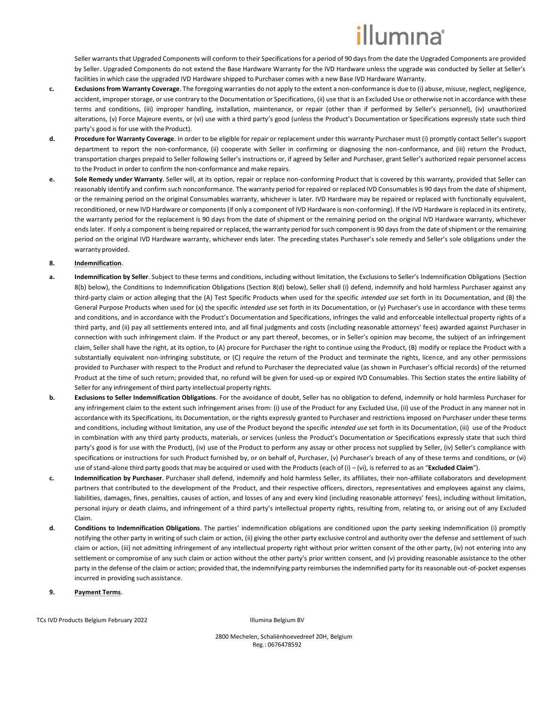# illumına<sup>®</sup>

Seller warrants that Upgraded Components will conform to their Specifications for a period of 90 days from the date the Upgraded Components are provided by Seller. Upgraded Components do not extend the Base Hardware Warranty for the IVD Hardware unless the upgrade was conducted by Seller at Seller's facilities in which case the upgraded IVD Hardware shipped to Purchaser comes with a new Base IVD Hardware Warranty.

- **c. Exclusions from Warranty Coverage**. The foregoing warranties do not apply to the extent a non-conformance is due to (i) abuse, misuse, neglect, negligence, accident, improper storage, or use contrary to the Documentation or Specifications, (ii) use that is an Excluded Use or otherwise not in accordance with these terms and conditions, (iii) improper handling, installation, maintenance, or repair (other than if performed by Seller's personnel), (iv) unauthorized alterations, (v) Force Majeure events, or (vi) use with a third party's good (unless the Product's Documentation or Specifications expressly state such third party's good is for use with the Product).
- **d. Procedure for Warranty Coverage**. In order to be eligible for repair or replacement under this warranty Purchaser must (i) promptly contact Seller's support department to report the non-conformance, (ii) cooperate with Seller in confirming or diagnosing the non-conformance, and (iii) return the Product, transportation charges prepaid to Seller following Seller's instructions or, if agreed by Seller and Purchaser, grant Seller's authorized repair personnel access to the Product in order to confirm the non-conformance and make repairs.
- **e. Sole Remedy under Warranty**. Seller will, at its option, repair or replace non-conforming Product that is covered by this warranty, provided that Seller can reasonably identify and confirm such nonconformance. The warranty period for repaired or replaced IVD Consumables is 90 days from the date ofshipment, or the remaining period on the original Consumables warranty, whichever is later. IVD Hardware may be repaired or replaced with functionally equivalent, reconditioned, or new IVD Hardware or components (if only a component of IVD Hardware is non-conforming). If the IVD Hardware is replaced in its entirety, the warranty period for the replacement is 90 days from the date of shipment or the remaining period on the original IVD Hardware warranty, whichever ends later. If only a component is being repaired or replaced, the warranty period for such component is 90 days from the date of shipment or the remaining period on the original IVD Hardware warranty, whichever ends later. The preceding states Purchaser's sole remedy and Seller's sole obligations under the warranty provided.

## <span id="page-2-0"></span>**8. Indemnification**.

- **a. Indemnification by Seller**. Subject to these terms and conditions, including without limitation, the Exclusions to Seller's Indemnification Obligations (Section [8\(](#page-2-0)[b\)](#page-2-1) below), the Conditions to Indemnification Obligations (Section [8](#page-2-0)[\(d\)](#page-2-2) below), Seller shall (i) defend, indemnify and hold harmless Purchaser against any third-party claim or action alleging that the (A) Test Specific Products when used for the specific *intended use* set forth in its Documentation, and (B) the General Purpose Products when used for (x) the specific *intended use* set forth in its Documentation, or (y) Purchaser's use in accordance with these terms and conditions, and in accordance with the Product's Documentation and Specifications, infringes the valid and enforceable intellectual property rights of a third party, and (ii) pay all settlements entered into, and all final judgments and costs (including reasonable attorneys' fees) awarded against Purchaser in connection with such infringement claim. If the Product or any part thereof, becomes, or in Seller's opinion may become, the subject of an infringement claim, Seller shall have the right, at its option, to (A) procure for Purchaser the right to continue using the Product, (B) modify or replace the Product with a substantially equivalent non-infringing substitute, or (C) require the return of the Product and terminate the rights, licence, and any other permissions provided to Purchaser with respect to the Product and refund to Purchaser the depreciated value (as shown in Purchaser's official records) of the returned Product at the time of such return; provided that, no refund will be given for used-up or expired IVD Consumables. This Section states the entire liability of Seller for any infringement of third party intellectual property rights.
- <span id="page-2-1"></span>**b. Exclusions to Seller Indemnification Obligations**. For the avoidance of doubt, Seller has no obligation to defend, indemnify or hold harmless Purchaser for any infringement claim to the extent such infringement arises from: (i) use of the Product for any Excluded Use, (ii) use of the Product in any manner not in accordance with its Specifications, its Documentation, or the rights expressly granted to Purchaser and restrictions imposed on Purchaser under these terms and conditions, including without limitation, any use of the Product beyond the specific *intended use* set forth in its Documentation, (iii) use of the Product in combination with any third party products, materials, or services (unless the Product's Documentation or Specifications expressly state that such third party's good is for use with the Product), (iv) use of the Product to perform any assay or other process not supplied by Seller, (iv) Seller's compliance with specifications or instructions for such Product furnished by, or on behalf of, Purchaser, (v) Purchaser's breach of any of these terms and conditions, or (vi) use of stand-alone third party goods that may be acquired or used with the Products (each of (i) – (vi), is referred to as an "**Excluded Claim**").
- **c. Indemnification by Purchaser**. Purchaser shall defend, indemnify and hold harmless Seller, its affiliates, their non-affiliate collaborators and development partners that contributed to the development of the Product, and their respective officers, directors, representatives and employees against any claims, liabilities, damages, fines, penalties, causes of action, and losses of any and every kind (including reasonable attorneys' fees), including without limitation, personal injury or death claims, and infringement of a third party's intellectual property rights, resulting from, relating to, or arising out of any Excluded Claim.
- <span id="page-2-2"></span>**d. Conditions to Indemnification Obligations**. The parties' indemnification obligations are conditioned upon the party seeking indemnification (i) promptly notifying the other party in writing of such claim or action, (ii) giving the other party exclusive control and authority over the defense and settlement of such claim or action, (iii) not admitting infringement of any intellectual property right without prior written consent of the other party, (iv) not entering into any settlement or compromise of any such claim or action without the other party's prior written consent, and (v) providing reasonable assistance to the other party in the defense of the claim or action; provided that, the indemnifying party reimburses the indemnified party for its reasonable out-of-pocket expenses incurred in providing suchassistance.
- **9. Payment Terms**.

TCs IVD Products Belgium February 2022 **Illumina Belgium BV** Illumina Belgium BV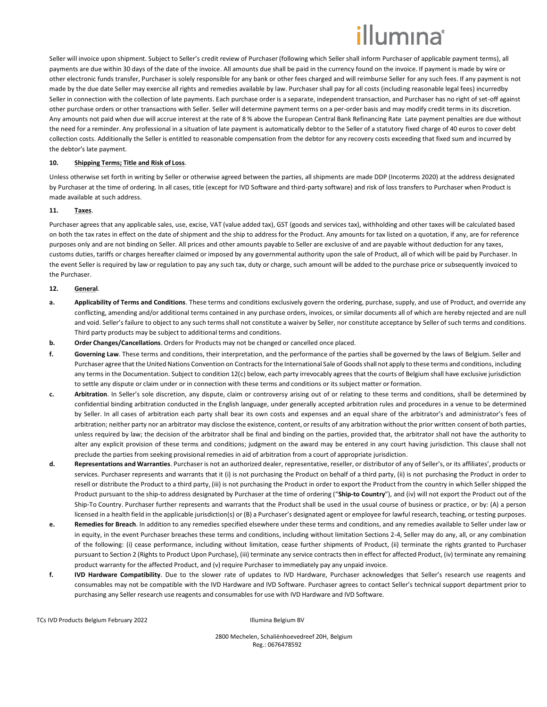# illumına<sup>®</sup>

Seller will invoice upon shipment. Subject to Seller's credit review of Purchaser (following which Seller shall inform Purchaser of applicable payment terms), all payments are due within 30 days of the date of the invoice. All amounts due shall be paid in the currency found on the invoice. If payment is made by wire or other electronic funds transfer, Purchaser is solely responsible for any bank or other fees charged and will reimburse Seller for any such fees. If any payment is not made by the due date Seller may exercise all rights and remedies available by law. Purchaser shall pay for all costs (including reasonable legal fees) incurredby Seller in connection with the collection of late payments. Each purchase order is a separate, independent transaction, and Purchaser has no right of set-off against other purchase orders or other transactions with Seller. Seller will determine payment terms on a per-order basis and may modify credit terms in its discretion. Any amounts not paid when due will accrue interest at the rate of 8 % above the European Central Bank Refinancing Rate Late payment penalties are due without the need for a reminder. Any professional in a situation of late payment is automatically debtor to the Seller of a statutory fixed charge of 40 euros to cover debt collection costs. Additionally the Seller is entitled to reasonable compensation from the debtor for any recovery costs exceeding that fixed sum and incurred by the debtor's late payment.

#### **10. Shipping Terms; Title and Risk of Loss**.

Unless otherwise set forth in writing by Seller or otherwise agreed between the parties, all shipments are made DDP (Incoterms 2020) at the address designated by Purchaser at the time of ordering. In all cases, title (except for IVD Software and third-party software) and risk of loss transfers to Purchaser when Product is made available at such address.

### **11. Taxes**.

Purchaser agrees that any applicable sales, use, excise, VAT (value added tax), GST (goods and services tax), withholding and other taxes will be calculated based on both the tax rates in effect on the date of shipment and the ship to address for the Product. Any amounts for tax listed on a quotation, if any, are for reference purposes only and are not binding on Seller. All prices and other amounts payable to Seller are exclusive of and are payable without deduction for any taxes, customs duties, tariffs or charges hereafter claimed or imposed by any governmental authority upon the sale of Product, all of which will be paid by Purchaser. In the event Seller is required by law or regulation to pay any such tax, duty or charge, such amount will be added to the purchase price or subsequently invoiced to the Purchaser.

### **12. General**.

- **a. Applicability of Terms and Conditions**. These terms and conditions exclusively govern the ordering, purchase, supply, and use of Product, and override any conflicting, amending and/or additional terms contained in any purchase orders, invoices, or similar documents all of which are hereby rejected and are null and void. Seller's failure to object to any such terms shall not constitute a waiver by Seller, nor constitute acceptance by Seller of such terms and conditions. Third party products may be subject to additional terms and conditions.
- **b. Order Changes/Cancellations**. Orders for Products may not be changed or cancelled once placed.
- **f. Governing Law**. These terms and conditions, their interpretation, and the performance of the parties shall be governed by the laws of Belgium. Seller and Purchaser agree that the United Nations Convention on Contracts for the International Sale of Goods shall not apply to these terms and conditions, including any terms in the Documentation. Subject to condition 12(c) below, each party irrevocably agrees that the courts of Belgium shall have exclusive jurisdiction to settle any dispute or claim under or in connection with these terms and conditions or its subject matter or formation.
- **c. Arbitration**. In Seller's sole discretion, any dispute, claim or controversy arising out of or relating to these terms and conditions, shall be determined by confidential binding arbitration conducted in the English language, under generally accepted arbitration rules and procedures in a venue to be determined by Seller. In all cases of arbitration each party shall bear its own costs and expenses and an equal share of the arbitrator's and administrator's fees of arbitration; neither party nor an arbitrator may disclose the existence, content, or results of any arbitration without the prior written consent of both parties, unless required by law; the decision of the arbitrator shall be final and binding on the parties, provided that, the arbitrator shall not have the authority to alter any explicit provision of these terms and conditions; judgment on the award may be entered in any court having jurisdiction. This clause shall not preclude the parties from seeking provisional remedies in aid of arbitration from a court of appropriate jurisdiction.
- **d. Representations and Warranties**. Purchaser is not an authorized dealer, representative, reseller, or distributor of any of Seller's, or its affiliates', products or services. Purchaser represents and warrants that it (i) is not purchasing the Product on behalf of a third party, (ii) is not purchasing the Product in order to resell or distribute the Product to a third party, (iii) is not purchasing the Product in order to export the Product from the country in which Seller shipped the Product pursuant to the ship-to address designated by Purchaser at the time of ordering ("**Ship-to Country**"), and (iv) will not export the Product out of the Ship-To Country. Purchaser further represents and warrants that the Product shall be used in the usual course of business or practice, or by: (A) a person licensed in a health field in the applicable jurisdiction(s) or (B) a Purchaser's designated agent or employee for lawful research, teaching, or testing purposes.
- **e. Remedies for Breach**. In addition to any remedies specified elsewhere under these terms and conditions, and any remedies available to Seller under law or in equity, in the event Purchaser breaches these terms and conditions, including without limitation Sections 2-4, Seller may do any, all, or any combination of the following: (i) cease performance, including without limitation, cease further shipments of Product, (ii) terminate the rights granted to Purchaser pursuant to Section 2 (Rights to Product Upon Purchase), (iii) terminate any service contracts then in effect for affected Product, (iv) terminate any remaining product warranty for the affected Product, and (v) require Purchaser to immediately pay any unpaid invoice.
- **f. IVD Hardware Compatibility**. Due to the slower rate of updates to IVD Hardware, Purchaser acknowledges that Seller's research use reagents and consumables may not be compatible with the IVD Hardware and IVD Software. Purchaser agrees to contact Seller's technical support department prior to purchasing any Seller research use reagents and consumables for use with IVD Hardware and IVD Software.

TCs IVD Products Belgium February 2022 Illumina Belgium BV